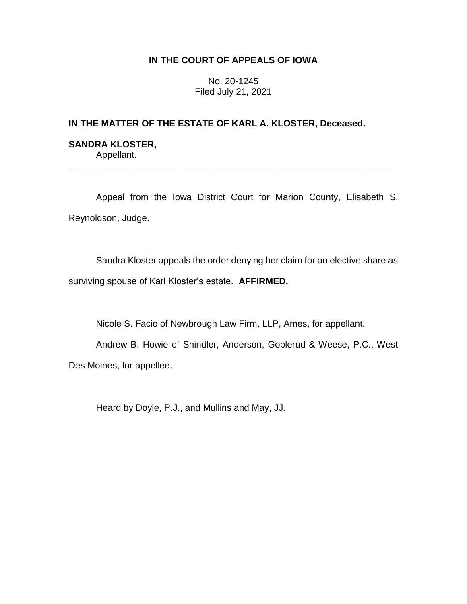# **IN THE COURT OF APPEALS OF IOWA**

No. 20-1245 Filed July 21, 2021

# **IN THE MATTER OF THE ESTATE OF KARL A. KLOSTER, Deceased.**

## **SANDRA KLOSTER,** Appellant.

Appeal from the Iowa District Court for Marion County, Elisabeth S. Reynoldson, Judge.

\_\_\_\_\_\_\_\_\_\_\_\_\_\_\_\_\_\_\_\_\_\_\_\_\_\_\_\_\_\_\_\_\_\_\_\_\_\_\_\_\_\_\_\_\_\_\_\_\_\_\_\_\_\_\_\_\_\_\_\_\_\_\_\_

Sandra Kloster appeals the order denying her claim for an elective share as surviving spouse of Karl Kloster's estate. **AFFIRMED.**

Nicole S. Facio of Newbrough Law Firm, LLP, Ames, for appellant.

Andrew B. Howie of Shindler, Anderson, Goplerud & Weese, P.C., West Des Moines, for appellee.

Heard by Doyle, P.J., and Mullins and May, JJ.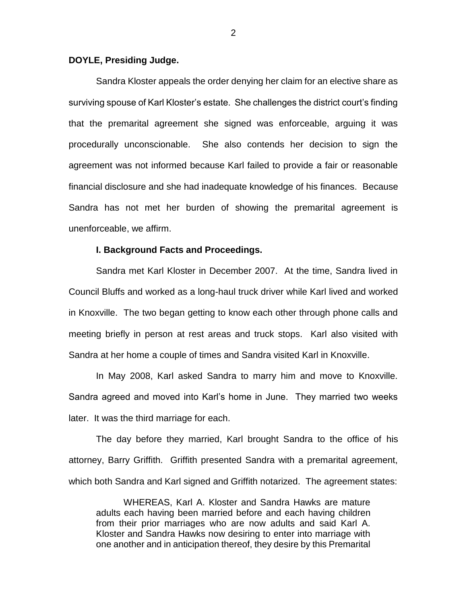## **DOYLE, Presiding Judge.**

Sandra Kloster appeals the order denying her claim for an elective share as surviving spouse of Karl Kloster's estate. She challenges the district court's finding that the premarital agreement she signed was enforceable, arguing it was procedurally unconscionable. She also contends her decision to sign the agreement was not informed because Karl failed to provide a fair or reasonable financial disclosure and she had inadequate knowledge of his finances. Because Sandra has not met her burden of showing the premarital agreement is unenforceable, we affirm.

## **I. Background Facts and Proceedings.**

Sandra met Karl Kloster in December 2007. At the time, Sandra lived in Council Bluffs and worked as a long-haul truck driver while Karl lived and worked in Knoxville. The two began getting to know each other through phone calls and meeting briefly in person at rest areas and truck stops. Karl also visited with Sandra at her home a couple of times and Sandra visited Karl in Knoxville.

In May 2008, Karl asked Sandra to marry him and move to Knoxville. Sandra agreed and moved into Karl's home in June. They married two weeks later. It was the third marriage for each.

The day before they married, Karl brought Sandra to the office of his attorney, Barry Griffith. Griffith presented Sandra with a premarital agreement, which both Sandra and Karl signed and Griffith notarized. The agreement states:

WHEREAS, Karl A. Kloster and Sandra Hawks are mature adults each having been married before and each having children from their prior marriages who are now adults and said Karl A. Kloster and Sandra Hawks now desiring to enter into marriage with one another and in anticipation thereof, they desire by this Premarital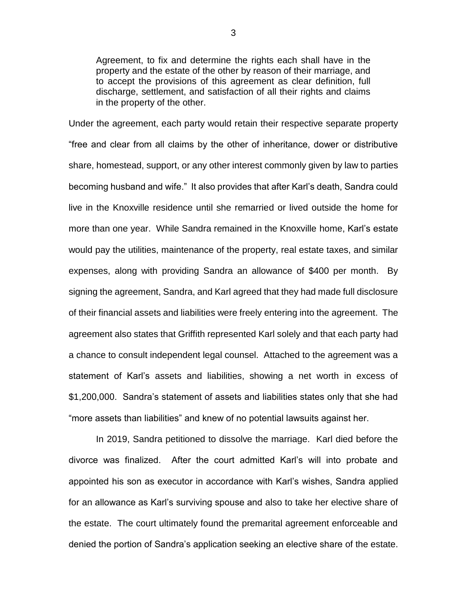Agreement, to fix and determine the rights each shall have in the property and the estate of the other by reason of their marriage, and to accept the provisions of this agreement as clear definition, full discharge, settlement, and satisfaction of all their rights and claims in the property of the other.

Under the agreement, each party would retain their respective separate property "free and clear from all claims by the other of inheritance, dower or distributive share, homestead, support, or any other interest commonly given by law to parties becoming husband and wife." It also provides that after Karl's death, Sandra could live in the Knoxville residence until she remarried or lived outside the home for more than one year. While Sandra remained in the Knoxville home, Karl's estate would pay the utilities, maintenance of the property, real estate taxes, and similar expenses, along with providing Sandra an allowance of \$400 per month. By signing the agreement, Sandra, and Karl agreed that they had made full disclosure of their financial assets and liabilities were freely entering into the agreement. The agreement also states that Griffith represented Karl solely and that each party had a chance to consult independent legal counsel. Attached to the agreement was a statement of Karl's assets and liabilities, showing a net worth in excess of \$1,200,000. Sandra's statement of assets and liabilities states only that she had "more assets than liabilities" and knew of no potential lawsuits against her.

In 2019, Sandra petitioned to dissolve the marriage. Karl died before the divorce was finalized. After the court admitted Karl's will into probate and appointed his son as executor in accordance with Karl's wishes, Sandra applied for an allowance as Karl's surviving spouse and also to take her elective share of the estate. The court ultimately found the premarital agreement enforceable and denied the portion of Sandra's application seeking an elective share of the estate.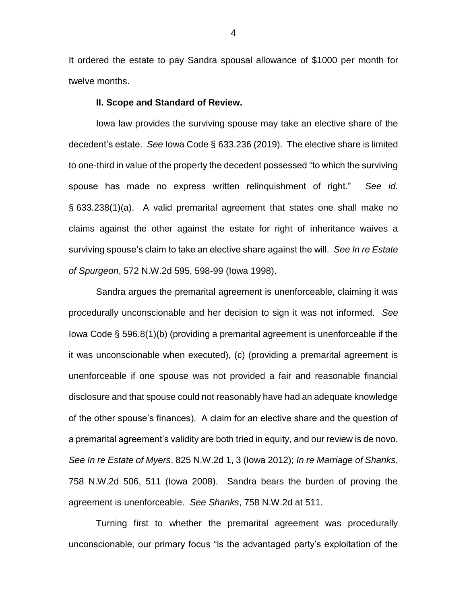It ordered the estate to pay Sandra spousal allowance of \$1000 per month for twelve months.

#### **II. Scope and Standard of Review.**

Iowa law provides the surviving spouse may take an elective share of the decedent's estate. *See* Iowa Code § 633.236 (2019). The elective share is limited to one-third in value of the property the decedent possessed "to which the surviving spouse has made no express written relinquishment of right." *See id.* § 633.238(1)(a). A valid premarital agreement that states one shall make no claims against the other against the estate for right of inheritance waives a surviving spouse's claim to take an elective share against the will. *See In re Estate of Spurgeon*, 572 N.W.2d 595, 598-99 (Iowa 1998).

Sandra argues the premarital agreement is unenforceable, claiming it was procedurally unconscionable and her decision to sign it was not informed. *See*  Iowa Code § 596.8(1)(b) (providing a premarital agreement is unenforceable if the it was unconscionable when executed), (c) (providing a premarital agreement is unenforceable if one spouse was not provided a fair and reasonable financial disclosure and that spouse could not reasonably have had an adequate knowledge of the other spouse's finances). A claim for an elective share and the question of a premarital agreement's validity are both tried in equity, and our review is de novo. *See In re Estate of Myers*, 825 N.W.2d 1, 3 (Iowa 2012); *In re Marriage of Shanks*, 758 N.W.2d 506, 511 (Iowa 2008). Sandra bears the burden of proving the agreement is unenforceable. *See Shanks*, 758 N.W.2d at 511.

Turning first to whether the premarital agreement was procedurally unconscionable, our primary focus "is the advantaged party's exploitation of the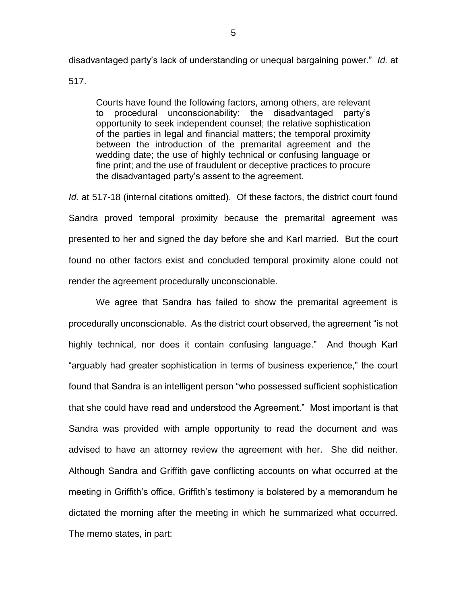disadvantaged party's lack of understanding or unequal bargaining power." *Id.* at

517.

Courts have found the following factors, among others, are relevant to procedural unconscionability: the disadvantaged party's opportunity to seek independent counsel; the relative sophistication of the parties in legal and financial matters; the temporal proximity between the introduction of the premarital agreement and the wedding date; the use of highly technical or confusing language or fine print; and the use of fraudulent or deceptive practices to procure the disadvantaged party's assent to the agreement.

*Id.* at 517-18 (internal citations omitted). Of these factors, the district court found Sandra proved temporal proximity because the premarital agreement was presented to her and signed the day before she and Karl married. But the court found no other factors exist and concluded temporal proximity alone could not render the agreement procedurally unconscionable.

We agree that Sandra has failed to show the premarital agreement is procedurally unconscionable. As the district court observed, the agreement "is not highly technical, nor does it contain confusing language." And though Karl "arguably had greater sophistication in terms of business experience," the court found that Sandra is an intelligent person "who possessed sufficient sophistication that she could have read and understood the Agreement." Most important is that Sandra was provided with ample opportunity to read the document and was advised to have an attorney review the agreement with her. She did neither. Although Sandra and Griffith gave conflicting accounts on what occurred at the meeting in Griffith's office, Griffith's testimony is bolstered by a memorandum he dictated the morning after the meeting in which he summarized what occurred. The memo states, in part: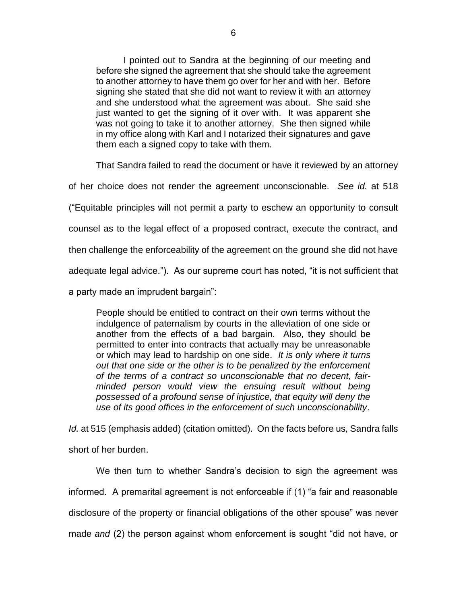I pointed out to Sandra at the beginning of our meeting and before she signed the agreement that she should take the agreement to another attorney to have them go over for her and with her. Before signing she stated that she did not want to review it with an attorney and she understood what the agreement was about. She said she just wanted to get the signing of it over with. It was apparent she was not going to take it to another attorney. She then signed while in my office along with Karl and I notarized their signatures and gave them each a signed copy to take with them.

That Sandra failed to read the document or have it reviewed by an attorney

of her choice does not render the agreement unconscionable. *See id.* at 518

("Equitable principles will not permit a party to eschew an opportunity to consult

counsel as to the legal effect of a proposed contract, execute the contract, and

then challenge the enforceability of the agreement on the ground she did not have

adequate legal advice."). As our supreme court has noted, "it is not sufficient that

a party made an imprudent bargain":

People should be entitled to contract on their own terms without the indulgence of paternalism by courts in the alleviation of one side or another from the effects of a bad bargain. Also, they should be permitted to enter into contracts that actually may be unreasonable or which may lead to hardship on one side. *It is only where it turns out that one side or the other is to be penalized by the enforcement of the terms of a contract so unconscionable that no decent, fairminded person would view the ensuing result without being possessed of a profound sense of injustice, that equity will deny the use of its good offices in the enforcement of such unconscionability*.

*Id.* at 515 (emphasis added) (citation omitted). On the facts before us, Sandra falls short of her burden.

We then turn to whether Sandra's decision to sign the agreement was informed. A premarital agreement is not enforceable if (1) "a fair and reasonable disclosure of the property or financial obligations of the other spouse" was never made *and* (2) the person against whom enforcement is sought "did not have, or